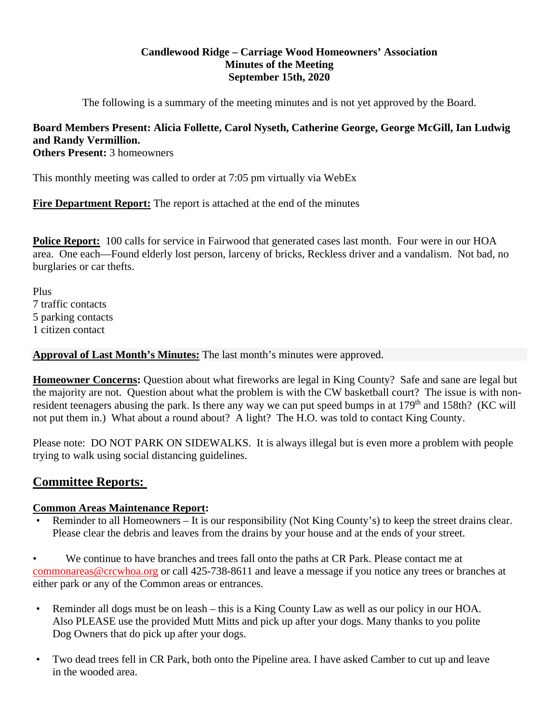## **Candlewood Ridge – Carriage Wood Homeowners' Association Minutes of the Meeting September 15th, 2020**

The following is a summary of the meeting minutes and is not yet approved by the Board.

# **Board Members Present: Alicia Follette, Carol Nyseth, Catherine George, George McGill, Ian Ludwig and Randy Vermillion.**

**Others Present:** 3 homeowners

This monthly meeting was called to order at 7:05 pm virtually via WebEx

**Fire Department Report:** The report is attached at the end of the minutes

**Police Report:** 100 calls for service in Fairwood that generated cases last month. Four were in our HOA area. One each—Found elderly lost person, larceny of bricks, Reckless driver and a vandalism. Not bad, no burglaries or car thefts.

Plus 7 traffic contacts 5 parking contacts 1 citizen contact

**Approval of Last Month's Minutes:** The last month's minutes were approved.

**Homeowner Concerns:** Question about what fireworks are legal in King County? Safe and sane are legal but the majority are not. Question about what the problem is with the CW basketball court? The issue is with nonresident teenagers abusing the park. Is there any way we can put speed bumps in at 179<sup>th</sup> and 158th? (KC will not put them in.) What about a round about? A light? The H.O. was told to contact King County.

Please note: DO NOT PARK ON SIDEWALKS. It is always illegal but is even more a problem with people trying to walk using social distancing guidelines.

# **Committee Reports:**

#### **Common Areas Maintenance Report:**

• Reminder to all Homeowners – It is our responsibility (Not King County's) to keep the street drains clear. Please clear the debris and leaves from the drains by your house and at the ends of your street.

• We continue to have branches and trees fall onto the paths at CR Park. Please contact me at commonareas@crcwhoa.org or call 425-738-8611 and leave a message if you notice any trees or branches at either park or any of the Common areas or entrances.

- Reminder all dogs must be on leash this is a King County Law as well as our policy in our HOA. Also PLEASE use the provided Mutt Mitts and pick up after your dogs. Many thanks to you polite Dog Owners that do pick up after your dogs.
- Two dead trees fell in CR Park, both onto the Pipeline area. I have asked Camber to cut up and leave in the wooded area.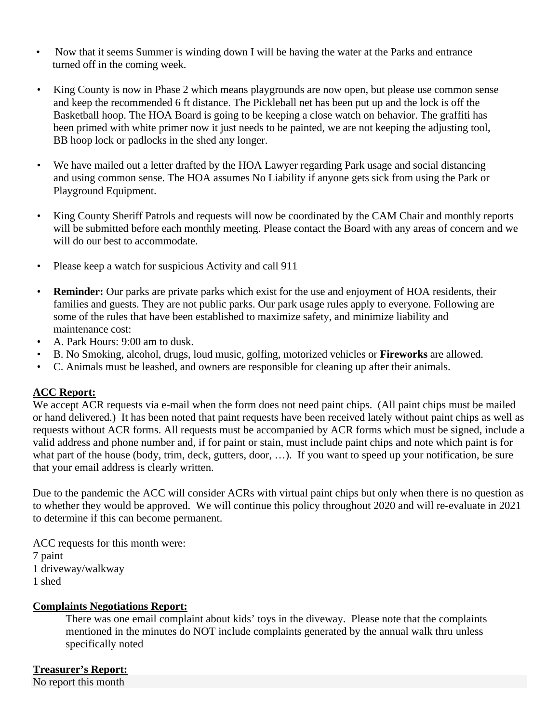- Now that it seems Summer is winding down I will be having the water at the Parks and entrance turned off in the coming week.
- King County is now in Phase 2 which means playgrounds are now open, but please use common sense and keep the recommended 6 ft distance. The Pickleball net has been put up and the lock is off the Basketball hoop. The HOA Board is going to be keeping a close watch on behavior. The graffiti has been primed with white primer now it just needs to be painted, we are not keeping the adjusting tool, BB hoop lock or padlocks in the shed any longer.
- We have mailed out a letter drafted by the HOA Lawyer regarding Park usage and social distancing and using common sense. The HOA assumes No Liability if anyone gets sick from using the Park or Playground Equipment.
- King County Sheriff Patrols and requests will now be coordinated by the CAM Chair and monthly reports will be submitted before each monthly meeting. Please contact the Board with any areas of concern and we will do our best to accommodate.
- Please keep a watch for suspicious Activity and call 911
- **Reminder:** Our parks are private parks which exist for the use and enjoyment of HOA residents, their families and guests. They are not public parks. Our park usage rules apply to everyone. Following are some of the rules that have been established to maximize safety, and minimize liability and maintenance cost:
- A. Park Hours: 9:00 am to dusk.
- B. No Smoking, alcohol, drugs, loud music, golfing, motorized vehicles or **Fireworks** are allowed.
- C. Animals must be leashed, and owners are responsible for cleaning up after their animals.

## **ACC Report:**

We accept ACR requests via e-mail when the form does not need paint chips. (All paint chips must be mailed or hand delivered.) It has been noted that paint requests have been received lately without paint chips as well as requests without ACR forms. All requests must be accompanied by ACR forms which must be signed, include a valid address and phone number and, if for paint or stain, must include paint chips and note which paint is for what part of the house (body, trim, deck, gutters, door, ...). If you want to speed up your notification, be sure that your email address is clearly written.

Due to the pandemic the ACC will consider ACRs with virtual paint chips but only when there is no question as to whether they would be approved. We will continue this policy throughout 2020 and will re-evaluate in 2021 to determine if this can become permanent.

ACC requests for this month were: 7 paint 1 driveway/walkway 1 shed

#### **Complaints Negotiations Report:**

There was one email complaint about kids' toys in the diveway. Please note that the complaints mentioned in the minutes do NOT include complaints generated by the annual walk thru unless specifically noted

## **Treasurer's Report:**

No report this month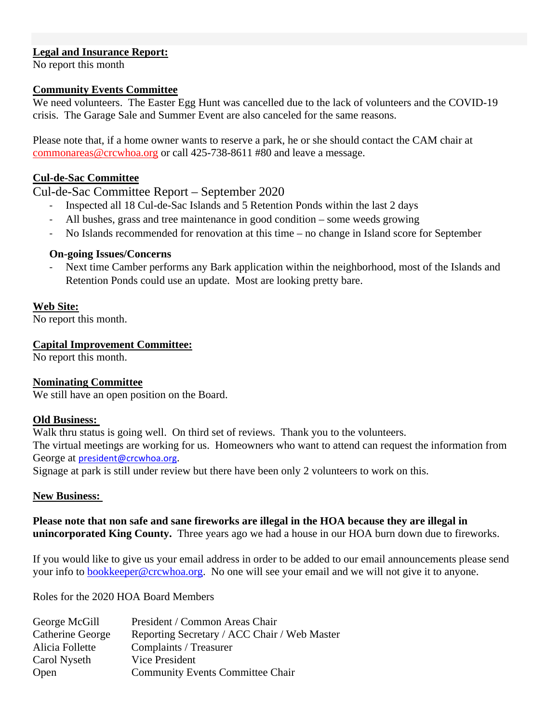## **Legal and Insurance Report:**

No report this month

#### **Community Events Committee**

We need volunteers. The Easter Egg Hunt was cancelled due to the lack of volunteers and the COVID-19 crisis. The Garage Sale and Summer Event are also canceled for the same reasons.

Please note that, if a home owner wants to reserve a park, he or she should contact the CAM chair at commonareas@crcwhoa.org or call 425-738-8611 #80 and leave a message.

## **Cul-de-Sac Committee**

## Cul-de-Sac Committee Report – September 2020

- ‐ Inspected all 18 Cul-de-Sac Islands and 5 Retention Ponds within the last 2 days
- All bushes, grass and tree maintenance in good condition some weeds growing
- ‐ No Islands recommended for renovation at this time no change in Island score for September

#### **On-going Issues/Concerns**

Next time Camber performs any Bark application within the neighborhood, most of the Islands and Retention Ponds could use an update. Most are looking pretty bare.

## **Web Site:**

No report this month.

## **Capital Improvement Committee:**

No report this month.

#### **Nominating Committee**

We still have an open position on the Board.

#### **Old Business:**

Walk thru status is going well. On third set of reviews. Thank you to the volunteers. The virtual meetings are working for us. Homeowners who want to attend can request the information from George at **president@crcwhoa.org**.

Signage at park is still under review but there have been only 2 volunteers to work on this.

#### **New Business:**

## **Please note that non safe and sane fireworks are illegal in the HOA because they are illegal in unincorporated King County.** Three years ago we had a house in our HOA burn down due to fireworks.

If you would like to give us your email address in order to be added to our email announcements please send your info to **bookkeeper@crcwhoa.org**. No one will see your email and we will not give it to anyone.

Roles for the 2020 HOA Board Members

| George McGill    | President / Common Areas Chair               |
|------------------|----------------------------------------------|
| Catherine George | Reporting Secretary / ACC Chair / Web Master |
| Alicia Follette  | Complaints / Treasurer                       |
| Carol Nyseth     | Vice President                               |
| Open             | <b>Community Events Committee Chair</b>      |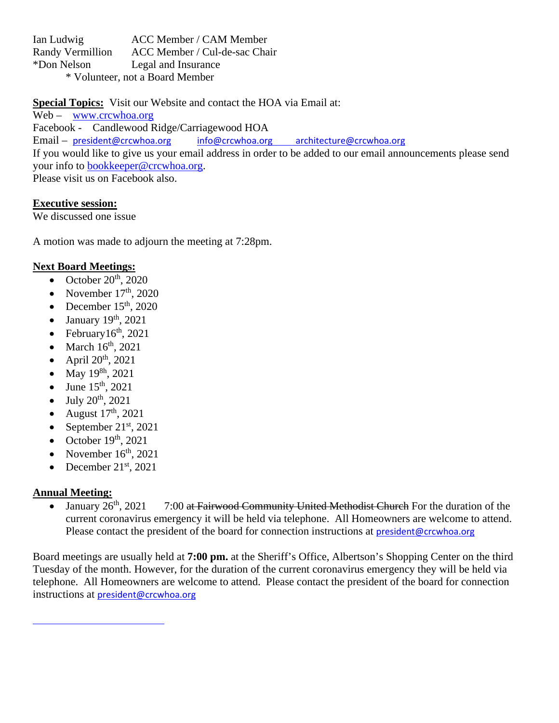Ian Ludwig ACC Member / CAM Member Randy Vermillion ACC Member / Cul-de-sac Chair \*Don Nelson Legal and Insurance \* Volunteer, not a Board Member

**Special Topics:** Visit our Website and contact the HOA via Email at:

Web – www.crcwhoa.org Facebook - Candlewood Ridge/Carriagewood HOA Email – president@crcwhoa.org info@crcwhoa.org architecture@crcwhoa.org If you would like to give us your email address in order to be added to our email announcements please send your info to bookkeeper@crcwhoa.org. Please visit us on Facebook also.

## **Executive session:**

We discussed one issue

A motion was made to adjourn the meeting at 7:28pm.

## **Next Board Meetings:**

- October  $20^{th}$ ,  $2020$
- November  $17<sup>th</sup>$ , 2020
- December  $15<sup>th</sup>$ , 2020
- January 19th, 2021
- February $16<sup>th</sup>$ , 2021
- March  $16<sup>th</sup>$ , 2021
- April  $20^{th}$ ,  $2021$
- May  $19^{8h}$ , 2021
- June  $15^{th}$ , 2021
- July 20th, 2021
- August  $17<sup>th</sup>$ , 2021
- September  $21<sup>st</sup>$ , 2021
- October  $19<sup>th</sup>$ , 2021
- November  $16<sup>th</sup>$ , 2021
- December  $21^{st}$ , 2021

<u> 1989 - Johann Barn, mars eta bainar eta idazlea (</u>

## **Annual Meeting:**

• January  $26<sup>th</sup>$ ,  $2021$  7:00 at Fairwood Community United Methodist Church For the duration of the current coronavirus emergency it will be held via telephone. All Homeowners are welcome to attend. Please contact the president of the board for connection instructions at  $president@crcwhoa.org$ 

Board meetings are usually held at **7:00 pm.** at the Sheriff's Office, Albertson's Shopping Center on the third Tuesday of the month. However, for the duration of the current coronavirus emergency they will be held via telephone. All Homeowners are welcome to attend. Please contact the president of the board for connection instructions at president@crcwhoa.org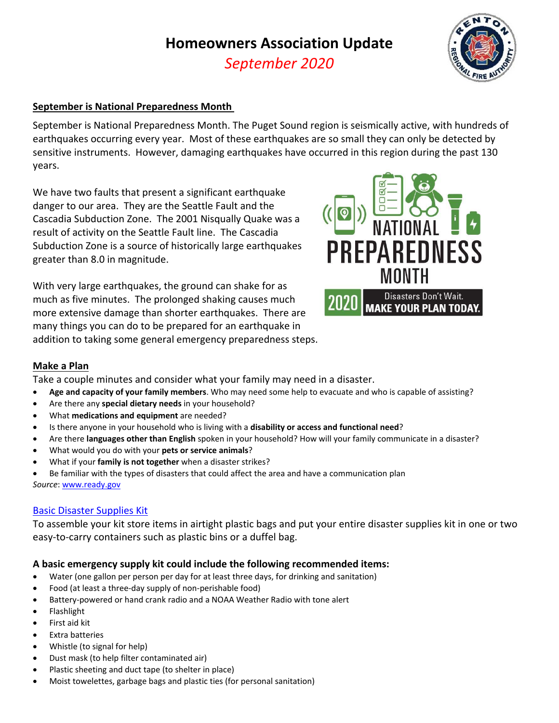# **Homeowners Association Update**

*September 2020*



## **September is National Preparedness Month**

September is National Preparedness Month. The Puget Sound region is seismically active, with hundreds of earthquakes occurring every year. Most of these earthquakes are so small they can only be detected by sensitive instruments. However, damaging earthquakes have occurred in this region during the past 130 years.

We have two faults that present a significant earthquake danger to our area. They are the Seattle Fault and the Cascadia Subduction Zone. The 2001 Nisqually Quake was a result of activity on the Seattle Fault line. The Cascadia Subduction Zone is a source of historically large earthquakes greater than 8.0 in magnitude.

With very large earthquakes, the ground can shake for as much as five minutes. The prolonged shaking causes much more extensive damage than shorter earthquakes. There are many things you can do to be prepared for an earthquake in addition to taking some general emergency preparedness steps.



## **Make a Plan**

Take a couple minutes and consider what your family may need in a disaster.

- **Age and capacity of your family members**. Who may need some help to evacuate and who is capable of assisting?
- Are there any **special dietary needs** in your household?
- What **medications and equipment** are needed?
- Is there anyone in your household who is living with a **disability or access and functional need**?
- Are there **languages other than English** spoken in your household? How will your family communicate in a disaster?
- What would you do with your **pets or service animals**?
- What if your **family is not together** when a disaster strikes?

 Be familiar with the types of disasters that could affect the area and have a communication plan *Source*: www.ready.gov

#### Basic Disaster Supplies Kit

To assemble your kit store items in airtight plastic bags and put your entire disaster supplies kit in one or two easy-to-carry containers such as plastic bins or a duffel bag.

## **A basic emergency supply kit could include the following recommended items:**

- Water (one gallon per person per day for at least three days, for drinking and sanitation)
- Food (at least a three‐day supply of non‐perishable food)
- Battery‐powered or hand crank radio and a NOAA Weather Radio with tone alert
- Flashlight
- First aid kit
- Extra batteries
- Whistle (to signal for help)
- Dust mask (to help filter contaminated air)
- Plastic sheeting and duct tape (to shelter in place)
- Moist towelettes, garbage bags and plastic ties (for personal sanitation)